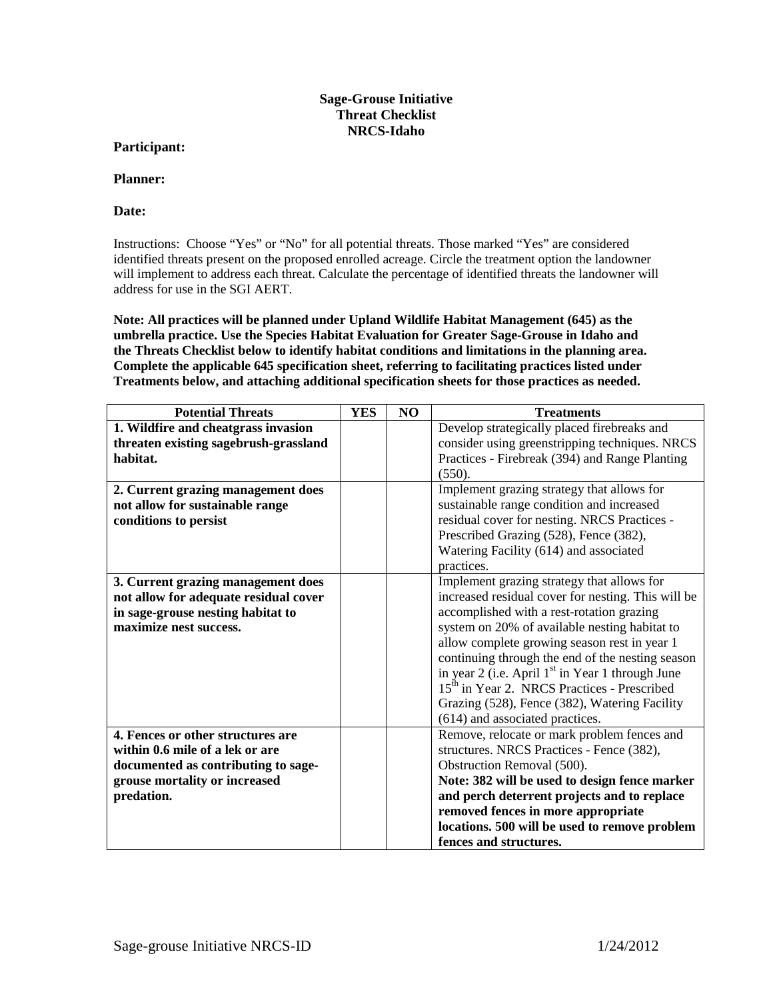## **Sage-Grouse Initiative Threat Checklist NRCS-Idaho**

## **Participant:**

## **Planner:**

## **Date:**

Instructions: Choose "Yes" or "No" for all potential threats. Those marked "Yes" are considered identified threats present on the proposed enrolled acreage. Circle the treatment option the landowner will implement to address each threat. Calculate the percentage of identified threats the landowner will address for use in the SGI AERT.

**Note: All practices will be planned under Upland Wildlife Habitat Management (645) as the umbrella practice. Use the Species Habitat Evaluation for Greater Sage-Grouse in Idaho and the Threats Checklist below to identify habitat conditions and limitations in the planning area. Complete the applicable 645 specification sheet, referring to facilitating practices listed under Treatments below, and attaching additional specification sheets for those practices as needed.**

| <b>Potential Threats</b>              | <b>YES</b> | N <sub>O</sub> | <b>Treatments</b>                                            |
|---------------------------------------|------------|----------------|--------------------------------------------------------------|
| 1. Wildfire and cheatgrass invasion   |            |                | Develop strategically placed firebreaks and                  |
| threaten existing sagebrush-grassland |            |                | consider using greenstripping techniques. NRCS               |
| habitat.                              |            |                | Practices - Firebreak (394) and Range Planting               |
|                                       |            |                | (550).                                                       |
| 2. Current grazing management does    |            |                | Implement grazing strategy that allows for                   |
| not allow for sustainable range       |            |                | sustainable range condition and increased                    |
| conditions to persist                 |            |                | residual cover for nesting. NRCS Practices -                 |
|                                       |            |                | Prescribed Grazing (528), Fence (382),                       |
|                                       |            |                | Watering Facility (614) and associated                       |
|                                       |            |                | practices.                                                   |
| 3. Current grazing management does    |            |                | Implement grazing strategy that allows for                   |
| not allow for adequate residual cover |            |                | increased residual cover for nesting. This will be           |
| in sage-grouse nesting habitat to     |            |                | accomplished with a rest-rotation grazing                    |
| maximize nest success.                |            |                | system on 20% of available nesting habitat to                |
|                                       |            |                | allow complete growing season rest in year 1                 |
|                                       |            |                | continuing through the end of the nesting season             |
|                                       |            |                | in year 2 (i.e. April 1 <sup>st</sup> in Year 1 through June |
|                                       |            |                | 15 <sup>th</sup> in Year 2. NRCS Practices - Prescribed      |
|                                       |            |                | Grazing (528), Fence (382), Watering Facility                |
|                                       |            |                | (614) and associated practices.                              |
| 4. Fences or other structures are     |            |                | Remove, relocate or mark problem fences and                  |
| within 0.6 mile of a lek or are       |            |                | structures. NRCS Practices - Fence (382),                    |
| documented as contributing to sage-   |            |                | Obstruction Removal (500).                                   |
| grouse mortality or increased         |            |                | Note: 382 will be used to design fence marker                |
| predation.                            |            |                | and perch deterrent projects and to replace                  |
|                                       |            |                | removed fences in more appropriate                           |
|                                       |            |                | locations. 500 will be used to remove problem                |
|                                       |            |                | fences and structures.                                       |